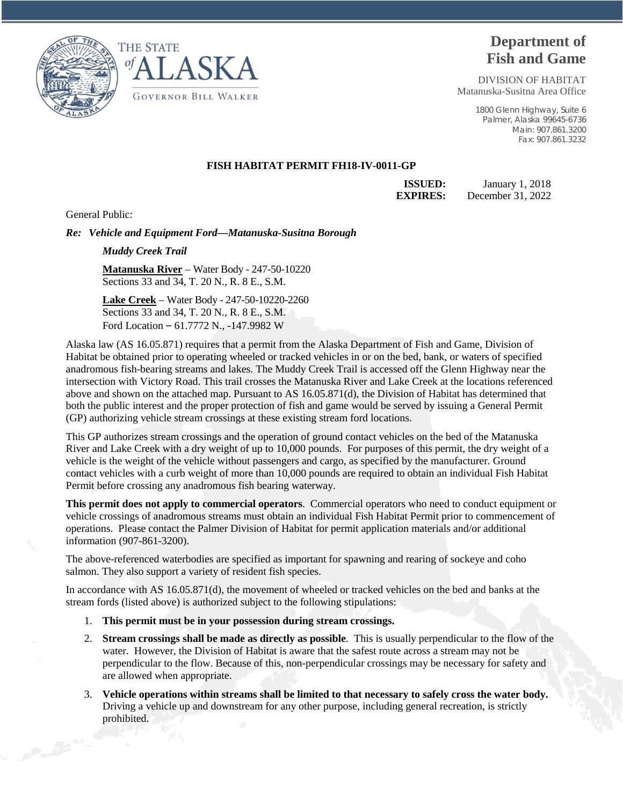



## **Department of Fish and Game**

DIVISION OF HABITAT Matanuska-Susitna Area Office

> 1800 Glenn Highway, Suite 6 Palmer, Alaska 99645-6736 Main: 907.861.3200 Fax: 907.861.3232

## **FISH HABITAT PERMIT FH18-IV-0011-GP**

**ISSUED:** January 1, 2018 **EXPIRES:** December 31, 2022

General Public:

*Re: Vehicle and Equipment Ford—Matanuska-Susitna Borough* 

*Muddy Creek Trail*

**Matanuska River** – Water Body - 247-50-10220 Sections 33 and 34, T. 20 N., R. 8 E., S.M.

**Lake Creek** – Water Body - 247-50-10220-2260 Sections 33 and 34, T. 20 N., R. 8 E., S.M. Ford Location – 61.7772 N., -147.9982 W

Alaska law (AS 16.05.871) requires that a permit from the Alaska Department of Fish and Game, Division of Habitat be obtained prior to operating wheeled or tracked vehicles in or on the bed, bank, or waters of specified anadromous fish-bearing streams and lakes. The Muddy Creek Trail is accessed off the Glenn Highway near the intersection with Victory Road. This trail crosses the Matanuska River and Lake Creek at the locations referenced above and shown on the attached map. Pursuant to AS 16.05.871(d), the Division of Habitat has determined that both the public interest and the proper protection of fish and game would be served by issuing a General Permit (GP) authorizing vehicle stream crossings at these existing stream ford locations.

This GP authorizes stream crossings and the operation of ground contact vehicles on the bed of the Matanuska River and Lake Creek with a dry weight of up to 10,000 pounds. For purposes of this permit, the dry weight of a vehicle is the weight of the vehicle without passengers and cargo, as specified by the manufacturer. Ground contact vehicles with a curb weight of more than 10,000 pounds are required to obtain an individual Fish Habitat Permit before crossing any anadromous fish bearing waterway.

**This permit does not apply to commercial operators**. Commercial operators who need to conduct equipment or vehicle crossings of anadromous streams must obtain an individual Fish Habitat Permit prior to commencement of operations. Please contact the Palmer Division of Habitat for permit application materials and/or additional information (907-861-3200).

The above-referenced waterbodies are specified as important for spawning and rearing of sockeye and coho salmon. They also support a variety of resident fish species.

In accordance with AS 16.05.871(d), the movement of wheeled or tracked vehicles on the bed and banks at the stream fords (listed above) is authorized subject to the following stipulations:

- 1. **This permit must be in your possession during stream crossings.**
- 2. **Stream crossings shall be made as directly as possible**. This is usually perpendicular to the flow of the water. However, the Division of Habitat is aware that the safest route across a stream may not be perpendicular to the flow. Because of this, non-perpendicular crossings may be necessary for safety and are allowed when appropriate.
- 3. **Vehicle operations within streams shall be limited to that necessary to safely cross the water body.** Driving a vehicle up and downstream for any other purpose, including general recreation, is strictly prohibited.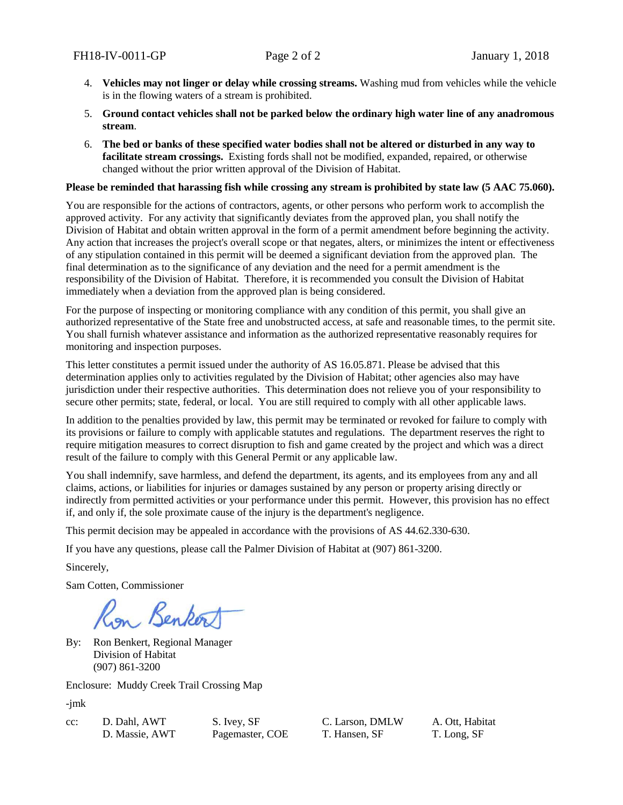- 4. **Vehicles may not linger or delay while crossing streams.** Washing mud from vehicles while the vehicle is in the flowing waters of a stream is prohibited.
- 5. **Ground contact vehicles shall not be parked below the ordinary high water line of any anadromous stream**.
- 6. **The bed or banks of these specified water bodies shall not be altered or disturbed in any way to facilitate stream crossings.** Existing fords shall not be modified, expanded, repaired, or otherwise changed without the prior written approval of the Division of Habitat.

## **Please be reminded that harassing fish while crossing any stream is prohibited by state law (5 AAC 75.060).**

You are responsible for the actions of contractors, agents, or other persons who perform work to accomplish the approved activity. For any activity that significantly deviates from the approved plan, you shall notify the Division of Habitat and obtain written approval in the form of a permit amendment before beginning the activity. Any action that increases the project's overall scope or that negates, alters, or minimizes the intent or effectiveness of any stipulation contained in this permit will be deemed a significant deviation from the approved plan. The final determination as to the significance of any deviation and the need for a permit amendment is the responsibility of the Division of Habitat. Therefore, it is recommended you consult the Division of Habitat immediately when a deviation from the approved plan is being considered.

For the purpose of inspecting or monitoring compliance with any condition of this permit, you shall give an authorized representative of the State free and unobstructed access, at safe and reasonable times, to the permit site. You shall furnish whatever assistance and information as the authorized representative reasonably requires for monitoring and inspection purposes.

This letter constitutes a permit issued under the authority of AS 16.05.871. Please be advised that this determination applies only to activities regulated by the Division of Habitat; other agencies also may have jurisdiction under their respective authorities. This determination does not relieve you of your responsibility to secure other permits; state, federal, or local. You are still required to comply with all other applicable laws.

In addition to the penalties provided by law, this permit may be terminated or revoked for failure to comply with its provisions or failure to comply with applicable statutes and regulations. The department reserves the right to require mitigation measures to correct disruption to fish and game created by the project and which was a direct result of the failure to comply with this General Permit or any applicable law.

You shall indemnify, save harmless, and defend the department, its agents, and its employees from any and all claims, actions, or liabilities for injuries or damages sustained by any person or property arising directly or indirectly from permitted activities or your performance under this permit. However, this provision has no effect if, and only if, the sole proximate cause of the injury is the department's negligence.

This permit decision may be appealed in accordance with the provisions of AS 44.62.330-630.

If you have any questions, please call the Palmer Division of Habitat at (907) 861-3200.

Sincerely,

Sam Cotten, Commissioner

Benker

By: Ron Benkert, Regional Manager Division of Habitat (907) 861-3200

Enclosure: Muddy Creek Trail Crossing Map

-jmk

| :c: | D. Dahl, AW  |
|-----|--------------|
|     | D. Massie, A |

cc: D. Dahl, AWT S. Ivey, SF C. Larson, DMLW A. Ott, Habitat D. Massie, AWT Pagemaster, COE T. Hansen, SF T. Long, SF

Pagemaster, COE T. Hansen, SF T. Long, SF